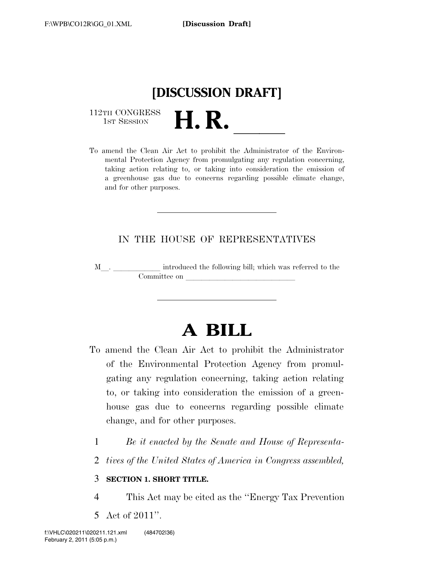

112TH CONGRESS<br>1st Session

112TH CONGRESS<br>1st SESSION **H. R.** <u>Indicated the Clean Air Act to prohibit the Administrator of the Environ-</u> mental Protection Agency from promulgating any regulation concerning, taking action relating to, or taking into consideration the emission of a greenhouse gas due to concerns regarding possible climate change, and for other purposes.

## IN THE HOUSE OF REPRESENTATIVES

<sup>M</sup>l. llllll introduced the following bill; which was referred to the Committee on

# **A BILL**

- To amend the Clean Air Act to prohibit the Administrator of the Environmental Protection Agency from promulgating any regulation concerning, taking action relating to, or taking into consideration the emission of a greenhouse gas due to concerns regarding possible climate change, and for other purposes.
	- 1 *Be it enacted by the Senate and House of Representa-*
	- 2 *tives of the United States of America in Congress assembled,*

### 3 **SECTION 1. SHORT TITLE.**

- 4 This Act may be cited as the ''Energy Tax Prevention
- 5 Act of 2011''.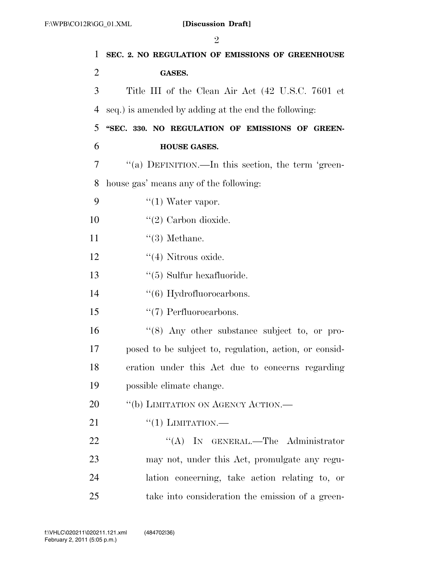|                | $\overline{2}$                                         |
|----------------|--------------------------------------------------------|
| $\mathbf{1}$   | SEC. 2. NO REGULATION OF EMISSIONS OF GREENHOUSE       |
| $\overline{2}$ | <b>GASES.</b>                                          |
| 3              | Title III of the Clean Air Act (42 U.S.C. 7601 et      |
| 4              | seq.) is amended by adding at the end the following:   |
| 5              | "SEC. 330. NO REGULATION OF EMISSIONS OF GREEN-        |
| 6              | HOUSE GASES.                                           |
| 7              | "(a) DEFINITION.—In this section, the term 'green-     |
| 8              | house gas' means any of the following:                 |
| 9              | $\lq(1)$ Water vapor.                                  |
| 10             | $\lq(2)$ Carbon dioxide.                               |
| 11             | $\lq(3)$ Methane.                                      |
| 12             | $\lq(4)$ Nitrous oxide.                                |
| 13             | $\lq(5)$ Sulfur hexafluoride.                          |
| 14             | $\cdot\cdot$ (6) Hydrofluoroearbons.                   |
| 15             | $\lq(7)$ Perfluorocarbons.                             |
| 16             | "(8) Any other substance subject to, or pro-           |
| 17             | posed to be subject to, regulation, action, or consid- |
| 18             | eration under this Act due to concerns regarding       |
| 19             | possible climate change.                               |
| 20             | "(b) LIMITATION ON AGENCY ACTION.-                     |
| 21             | $``(1)$ LIMITATION.—                                   |
| 22             | "(A) IN GENERAL.—The Administrator                     |
| 23             | may not, under this Act, promulgate any regu-          |
| 24             | lation concerning, take action relating to, or         |
| 25             | take into consideration the emission of a green-       |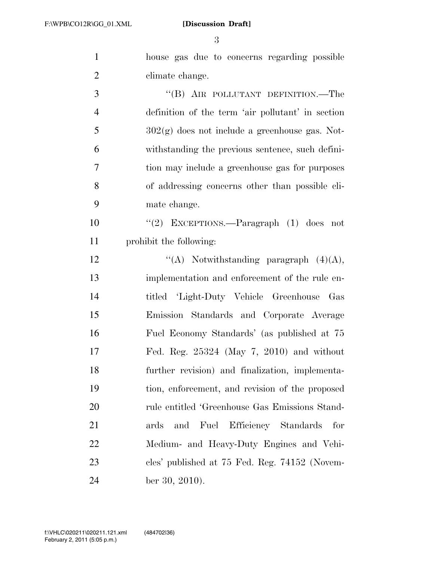house gas due to concerns regarding possible 2 climate change. 3 "(B) AIR POLLUTANT DEFINITION.—The definition of the term 'air pollutant' in section  $302(g)$  does not include a greenhouse gas. Not- withstanding the previous sentence, such defini- tion may include a greenhouse gas for purposes of addressing concerns other than possible cli- mate change. ''(2) EXCEPTIONS.—Paragraph (1) does not prohibit the following:  $\langle (A) \quad \text{Notwithstanding paragraph} \quad (4)(A),$  implementation and enforcement of the rule en- titled 'Light-Duty Vehicle Greenhouse Gas Emission Standards and Corporate Average Fuel Economy Standards' (as published at 75 Fed. Reg. 25324 (May 7, 2010) and without further revision) and finalization, implementa- tion, enforcement, and revision of the proposed rule entitled 'Greenhouse Gas Emissions Stand-

 ards and Fuel Efficiency Standards for Medium- and Heavy-Duty Engines and Vehi- cles' published at 75 Fed. Reg. 74152 (Novem-ber 30, 2010).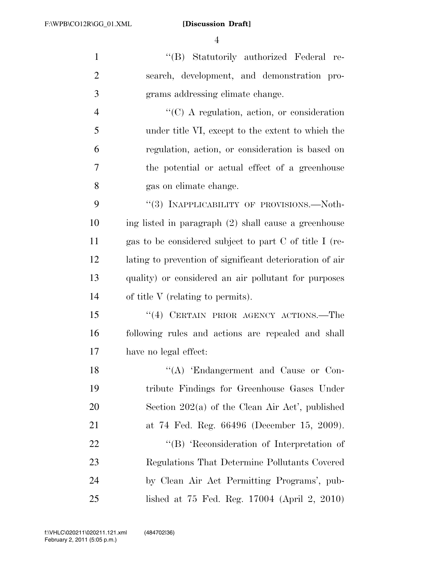''(B) Statutorily authorized Federal re- search, development, and demonstration pro- grams addressing climate change. ''(C) A regulation, action, or consideration under title VI, except to the extent to which the regulation, action, or consideration is based on the potential or actual effect of a greenhouse gas on climate change. 9 "(3) INAPPLICABILITY OF PROVISIONS.—Noth- ing listed in paragraph (2) shall cause a greenhouse gas to be considered subject to part C of title I (re- lating to prevention of significant deterioration of air quality) or considered an air pollutant for purposes of title V (relating to permits). ''(4) CERTAIN PRIOR AGENCY ACTIONS.—The following rules and actions are repealed and shall have no legal effect: 18 "(A) Endangerment and Cause or Con- tribute Findings for Greenhouse Gases Under Section 202(a) of the Clean Air Act', published at 74 Fed. Reg. 66496 (December 15, 2009).

22 "'(B) 'Reconsideration of Interpretation of Regulations That Determine Pollutants Covered by Clean Air Act Permitting Programs', pub-lished at 75 Fed. Reg. 17004 (April 2, 2010)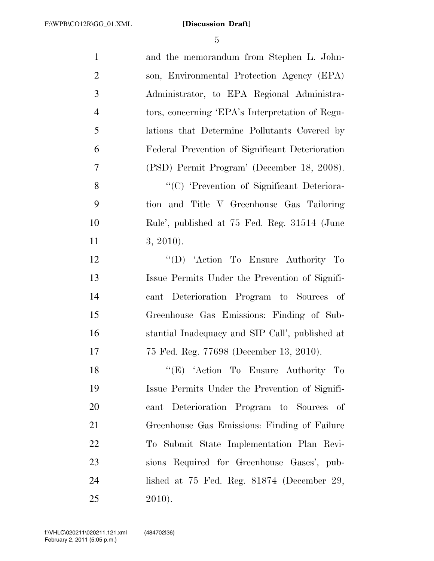| $\mathbf{1}$   | and the memorandum from Stephen L. John-        |
|----------------|-------------------------------------------------|
| $\overline{2}$ | son, Environmental Protection Agency (EPA)      |
| 3              | Administrator, to EPA Regional Administra-      |
| $\overline{4}$ | tors, concerning 'EPA's Interpretation of Regu- |
| 5              | lations that Determine Pollutants Covered by    |
| 6              | Federal Prevention of Significant Deterioration |
| $\overline{7}$ | (PSD) Permit Program' (December 18, 2008).      |
| 8              | "(C) 'Prevention of Significant Deteriora-      |
| 9              | tion and Title V Greenhouse Gas Tailoring       |
| 10             | Rule', published at 75 Fed. Reg. 31514 (June    |
| 11             | $3, 2010$ ).                                    |
| 12             | "(D) 'Action To Ensure Authority To             |
| 13             | Issue Permits Under the Prevention of Signifi-  |
| 14             | cant Deterioration Program to Sources of        |
| 15             | Greenhouse Gas Emissions: Finding of Sub-       |
| 16             | stantial Inadequacy and SIP Call', published at |
| 17             | 75 Fed. Reg. 77698 (December 13, 2010).         |
| 18             | "(E) 'Action To Ensure Authority To             |
| 19             | Issue Permits Under the Prevention of Signifi-  |
| 20             | cant Deterioration Program to Sources of        |
| 21             | Greenhouse Gas Emissions: Finding of Failure    |
| 22             | To Submit State Implementation Plan Revi-       |
| 23             | sions Required for Greenhouse Gases', pub-      |
| 24             | lished at $75$ Fed. Reg. $81874$ (December 29,  |
| 25             | 2010).                                          |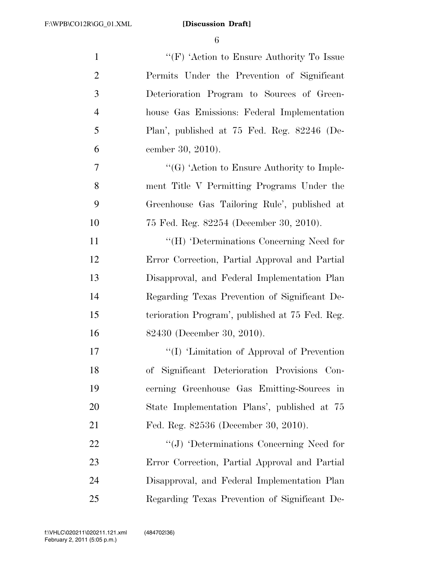| $\mathbf{1}$   | "(F) 'Action to Ensure Authority To Issue       |
|----------------|-------------------------------------------------|
| $\overline{2}$ | Permits Under the Prevention of Significant     |
| 3              | Deterioration Program to Sources of Green-      |
| $\overline{4}$ | house Gas Emissions: Federal Implementation     |
| 5              | Plan', published at 75 Fed. Reg. 82246 (De-     |
| 6              | cember 30, 2010).                               |
| $\overline{7}$ | " $(G)$ 'Action to Ensure Authority to Imple-   |
| 8              | ment Title V Permitting Programs Under the      |
| 9              | Greenhouse Gas Tailoring Rule', published at    |
| 10             | 75 Fed. Reg. 82254 (December 30, 2010).         |
| 11             | "(H) 'Determinations Concerning Need for        |
| 12             | Error Correction, Partial Approval and Partial  |
| 13             | Disapproval, and Federal Implementation Plan    |
| 14             | Regarding Texas Prevention of Significant De-   |
| 15             | terioration Program', published at 75 Fed. Reg. |
| 16             | 82430 (December 30, 2010).                      |
| 17             | "(I) 'Limitation of Approval of Prevention      |
| 18             | of Significant Deterioration Provisions Con-    |
| 19             | cerning Greenhouse Gas Emitting-Sources in      |
| 20             | State Implementation Plans', published at 75    |
| 21             | Fed. Reg. 82536 (December 30, 2010).            |
| 22             | "(J) 'Determinations Concerning Need for        |
| 23             | Error Correction, Partial Approval and Partial  |
| 24             | Disapproval, and Federal Implementation Plan    |
| 25             | Regarding Texas Prevention of Significant De-   |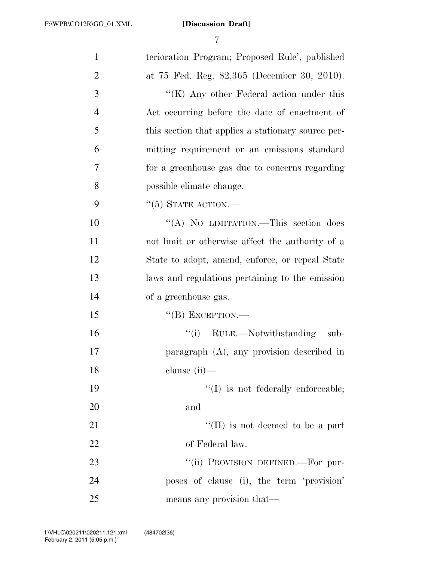| $\mathbf{1}$   | terioration Program; Proposed Rule', published     |
|----------------|----------------------------------------------------|
| $\overline{2}$ | at 75 Fed. Reg. 82,365 (December 30, 2010).        |
| 3              | " $(K)$ Any other Federal action under this        |
| $\overline{4}$ | Act occurring before the date of enactment of      |
| 5              | this section that applies a stationary source per- |
| 6              | mitting requirement or an emissions standard       |
| $\overline{7}$ | for a greenhouse gas due to concerns regarding     |
| 8              | possible climate change.                           |
| 9              | $``(5)$ STATE ACTION.—                             |
| 10             | "(A) NO LIMITATION.—This section does              |
| 11             | not limit or otherwise affect the authority of a   |
| 12             | State to adopt, amend, enforce, or repeal State    |
| 13             | laws and regulations pertaining to the emission    |
| 14             | of a greenhouse gas.                               |
| 15             | $\lq\lq (B)$ EXCEPTION.—                           |
| 16             | "(i) RULE.—Notwithstanding sub-                    |
| 17             | paragraph (A), any provision described in          |
| 18             | clause $(ii)$ —                                    |
| 19             | $\lq\lq$ is not federally enforceable;             |
| 20             | and                                                |
| 21             | "(II) is not deemed to be a part                   |
| 22             | of Federal law.                                    |
| 23             | "(ii) PROVISION DEFINED.—For pur-                  |
| 24             | poses of clause (i), the term 'provision'          |
| 25             | means any provision that—                          |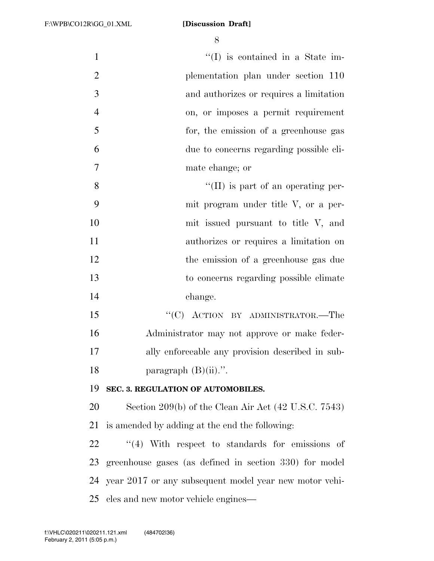$\frac{1}{1}$  is contained in a State im- plementation plan under section 110 and authorizes or requires a limitation on, or imposes a permit requirement for, the emission of a greenhouse gas due to concerns regarding possible cli- mate change; or 8 ''(II) is part of an operating per- mit program under title V, or a per- mit issued pursuant to title V, and authorizes or requires a limitation on the emission of a greenhouse gas due to concerns regarding possible climate change. 15 "'(C) ACTION BY ADMINISTRATOR.—The Administrator may not approve or make feder- ally enforceable any provision described in sub-18 paragraph  $(B)(ii)$ .". **SEC. 3. REGULATION OF AUTOMOBILES.**  Section 209(b) of the Clean Air Act (42 U.S.C. 7543) is amended by adding at the end the following:  $\frac{1}{4}$  With respect to standards for emissions of greenhouse gases (as defined in section 330) for model year 2017 or any subsequent model year new motor vehi-

cles and new motor vehicle engines—